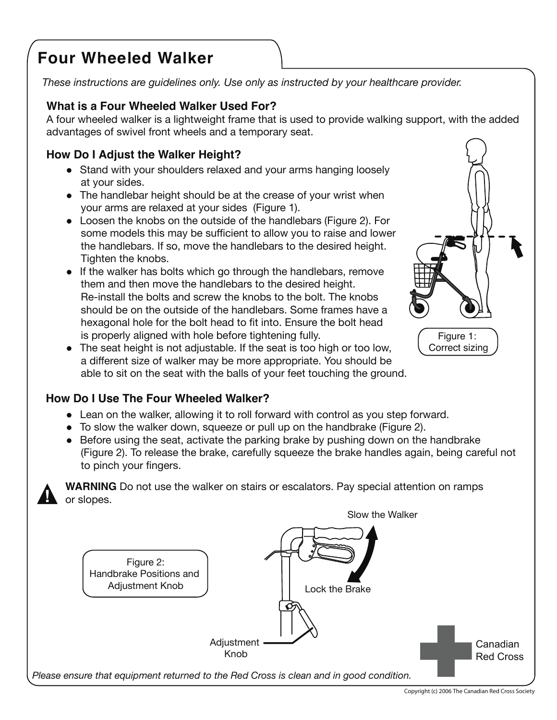# **Four Wheeled Walker**

These instructions are guidelines only. Use only as instructed by your healthcare provider.

# What is a Four Wheeled Walker Used For?

A four wheeled walker is a lightweight frame that is used to provide walking support, with the added advantages of swivel front wheels and a temporary seat.

# How Do I Adjust the Walker Height?

- Stand with your shoulders relaxed and your arms hanging loosely at your sides.
- The handlebar height should be at the crease of your wrist when your arms are relaxed at your sides (Figure 1).
- Loosen the knobs on the outside of the handlebars (Figure 2). For some models this may be sufficient to allow you to raise and lower the handlebars. If so, move the handlebars to the desired height. Tighten the knobs.
- If the walker has bolts which go through the handlebars, remove them and then move the handlebars to the desired height. Re-install the bolts and screw the knobs to the bolt. The knobs should be on the outside of the handlebars. Some frames have a hexagonal hole for the bolt head to fit into. Ensure the bolt head is properly aligned with hole before tightening fully.
- The seat height is not adjustable. If the seat is too high or too low, a different size of walker may be more appropriate. You should be able to sit on the seat with the balls of your feet touching the ground.

# How Do I Use The Four Wheeled Walker?

- Lean on the walker, allowing it to roll forward with control as you step forward.
- To slow the walker down, squeeze or pull up on the handbrake (Figure 2).
- Before using the seat, activate the parking brake by pushing down on the handbrake (Figure 2). To release the brake, carefully squeeze the brake handles again, being careful not to pinch your fingers.

**WARNING** Do not use the walker on stairs or escalators. Pay special attention on ramps or slopes.



Figure 1:

Correct sizing